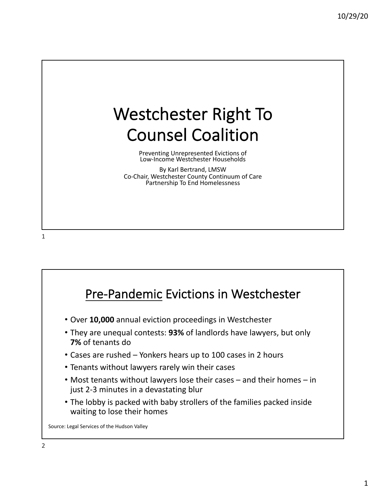## Westchester Right To Counsel Coalition

Preventing Unrepresented Evictions of Low-Income Westchester Households

By Karl Bertrand, LMSW Co-Chair, Westchester County Continuum of Care Partnership To End Homelessness

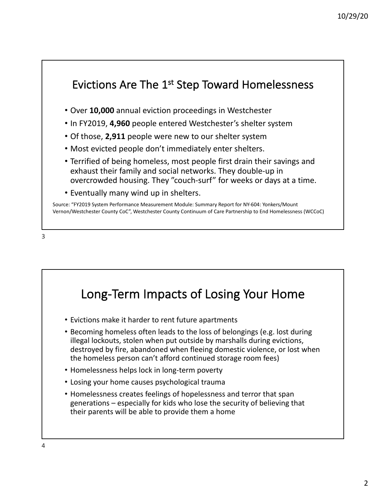

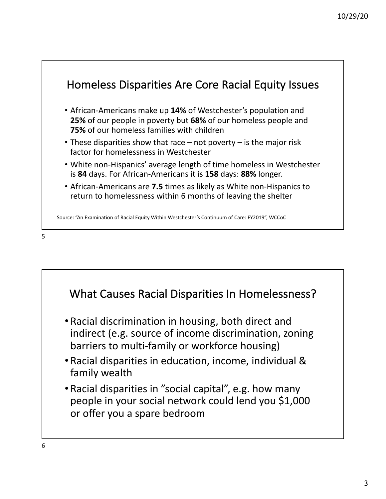

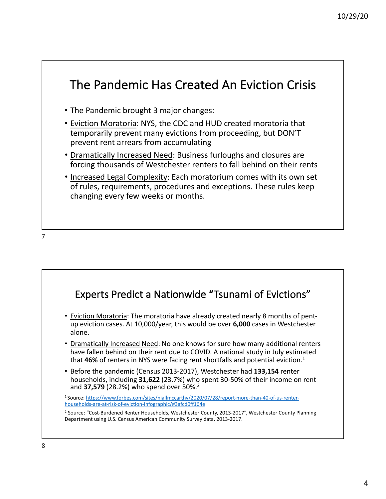

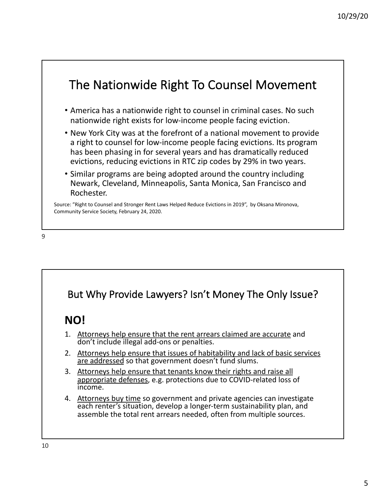



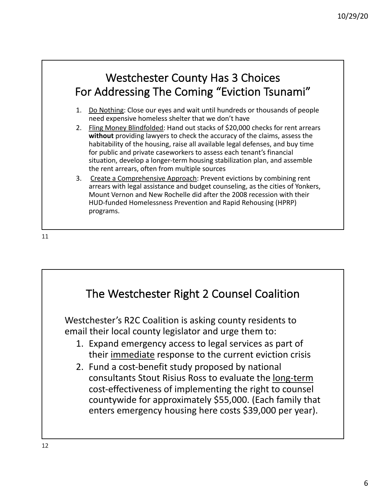## Westchester County Has 3 Choices For Addressing The Coming "Eviction Tsunami"

- 1. Do Nothing: Close our eyes and wait until hundreds or thousands of people need expensive homeless shelter that we don't have
- 2. Fling Money Blindfolded: Hand out stacks of \$20,000 checks for rent arrears **without** providing lawyers to check the accuracy of the claims, assess the habitability of the housing, raise all available legal defenses, and buy time for public and private caseworkers to assess each tenant's financial situation, develop a longer-term housing stabilization plan, and assemble the rent arrears, often from multiple sources
- 3. Create a Comprehensive Approach: Prevent evictions by combining rent arrears with legal assistance and budget counseling, as the cities of Yonkers, Mount Vernon and New Rochelle did after the 2008 recession with their HUD-funded Homelessness Prevention and Rapid Rehousing (HPRP) programs.

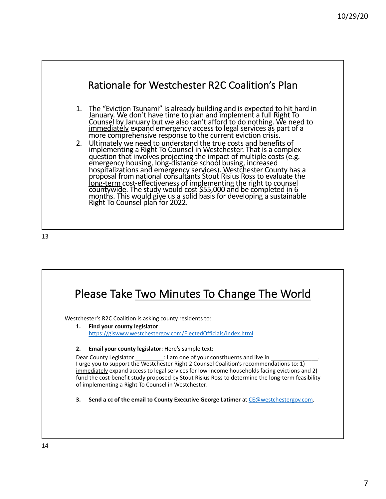